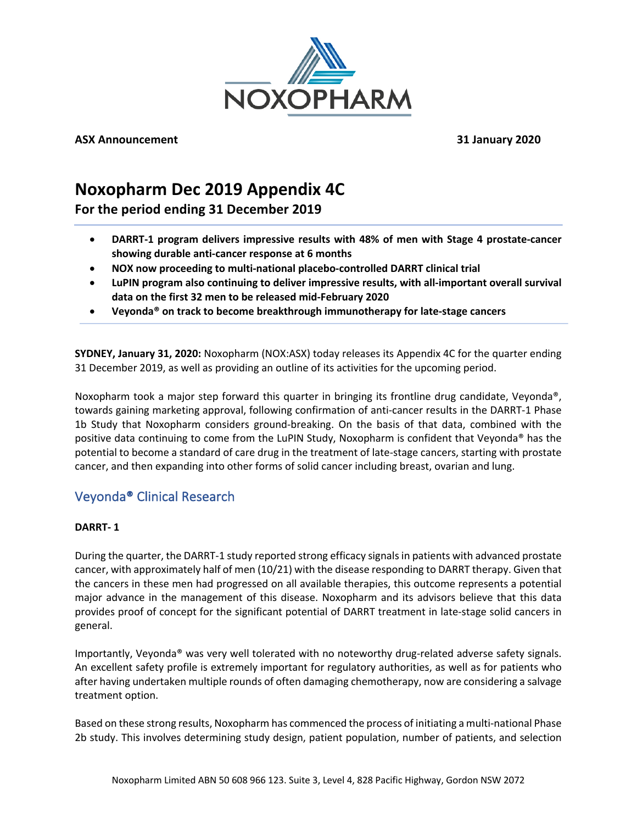

**ASX Announcement 31 January 2020**

## **Noxopharm Dec 2019 Appendix 4C**

**For the period ending 31 December 2019** 

- **DARRT-1 program delivers impressive results with 48% of men with Stage 4 prostate-cancer showing durable anti-cancer response at 6 months**
- **NOX now proceeding to multi-national placebo-controlled DARRT clinical trial**
- **LuPIN program also continuing to deliver impressive results, with all-important overall survival data on the first 32 men to be released mid-February 2020**
- **Veyonda® on track to become breakthrough immunotherapy for late-stage cancers**

**SYDNEY, January 31, 2020:** Noxopharm (NOX:ASX) today releases its Appendix 4C for the quarter ending 31 December 2019, as well as providing an outline of its activities for the upcoming period.

Noxopharm took a major step forward this quarter in bringing its frontline drug candidate, Veyonda®, towards gaining marketing approval, following confirmation of anti-cancer results in the DARRT-1 Phase 1b Study that Noxopharm considers ground-breaking. On the basis of that data, combined with the positive data continuing to come from the LuPIN Study, Noxopharm is confident that Veyonda® has the potential to become a standard of care drug in the treatment of late-stage cancers, starting with prostate cancer, and then expanding into other forms of solid cancer including breast, ovarian and lung.

## Veyonda® Clinical Research

## **DARRT- 1**

During the quarter, the DARRT-1 study reported strong efficacy signals in patients with advanced prostate cancer, with approximately half of men (10/21) with the disease responding to DARRT therapy. Given that the cancers in these men had progressed on all available therapies, this outcome represents a potential major advance in the management of this disease. Noxopharm and its advisors believe that this data provides proof of concept for the significant potential of DARRT treatment in late-stage solid cancers in general.

Importantly, Veyonda® was very well tolerated with no noteworthy drug-related adverse safety signals. An excellent safety profile is extremely important for regulatory authorities, as well as for patients who after having undertaken multiple rounds of often damaging chemotherapy, now are considering a salvage treatment option.

Based on these strong results, Noxopharm has commenced the process of initiating a multi-national Phase 2b study. This involves determining study design, patient population, number of patients, and selection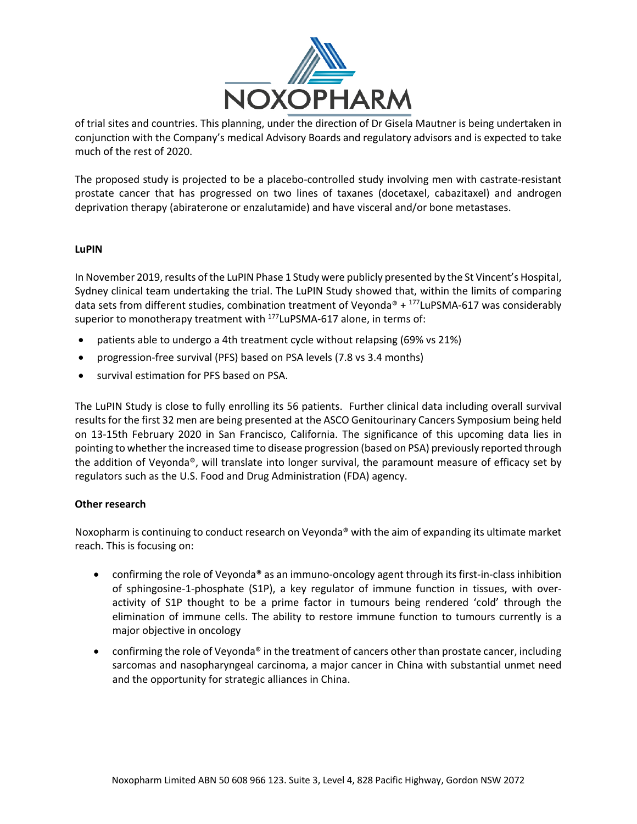

of trial sites and countries. This planning, under the direction of Dr Gisela Mautner is being undertaken in conjunction with the Company's medical Advisory Boards and regulatory advisors and is expected to take much of the rest of 2020.

The proposed study is projected to be a placebo-controlled study involving men with castrate-resistant prostate cancer that has progressed on two lines of taxanes (docetaxel, cabazitaxel) and androgen deprivation therapy (abiraterone or enzalutamide) and have visceral and/or bone metastases.

#### **LuPIN**

In November 2019, results of the LuPIN Phase 1 Study were publicly presented by the St Vincent's Hospital, Sydney clinical team undertaking the trial. The LuPIN Study showed that, within the limits of comparing data sets from different studies, combination treatment of Veyonda® +  $^{177}$ LuPSMA-617 was considerably superior to monotherapy treatment with <sup>177</sup>LuPSMA-617 alone, in terms of:

- patients able to undergo a 4th treatment cycle without relapsing (69% vs 21%)
- progression-free survival (PFS) based on PSA levels (7.8 vs 3.4 months)
- survival estimation for PFS based on PSA.

The LuPIN Study is close to fully enrolling its 56 patients. Further clinical data including overall survival results for the first 32 men are being presented at the ASCO Genitourinary Cancers Symposium being held on 13-15th February 2020 in San Francisco, California. The significance of this upcoming data lies in pointing to whether the increased time to disease progression (based on PSA) previously reported through the addition of Veyonda®, will translate into longer survival, the paramount measure of efficacy set by regulators such as the U.S. Food and Drug Administration (FDA) agency.

### **Other research**

Noxopharm is continuing to conduct research on Veyonda® with the aim of expanding its ultimate market reach. This is focusing on:

- confirming the role of Veyonda® as an immuno-oncology agent through its first-in-class inhibition of sphingosine-1-phosphate (S1P), a key regulator of immune function in tissues, with overactivity of S1P thought to be a prime factor in tumours being rendered 'cold' through the elimination of immune cells. The ability to restore immune function to tumours currently is a major objective in oncology
- confirming the role of Veyonda® in the treatment of cancers other than prostate cancer, including sarcomas and nasopharyngeal carcinoma, a major cancer in China with substantial unmet need and the opportunity for strategic alliances in China.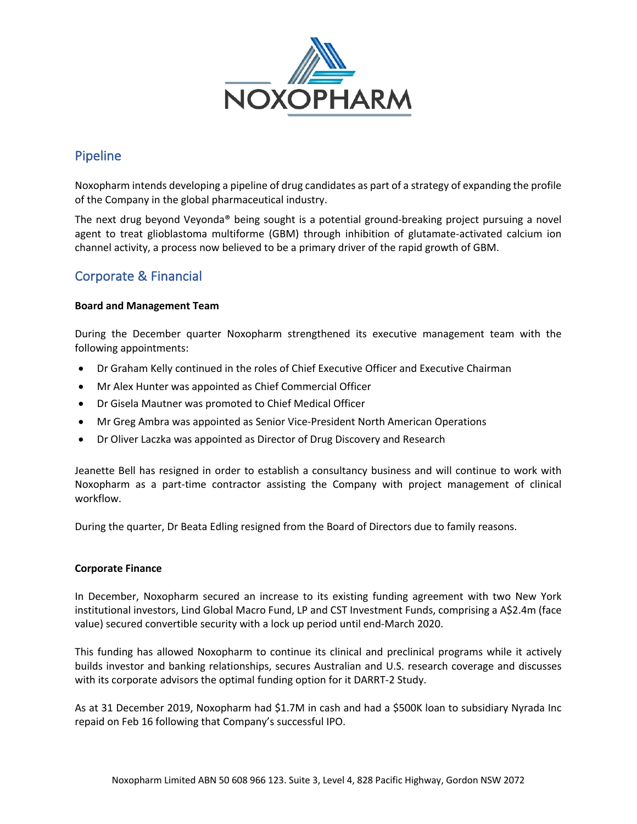

## Pipeline

Noxopharm intends developing a pipeline of drug candidates as part of a strategy of expanding the profile of the Company in the global pharmaceutical industry.

The next drug beyond Veyonda® being sought is a potential ground-breaking project pursuing a novel agent to treat glioblastoma multiforme (GBM) through inhibition of glutamate-activated calcium ion channel activity, a process now believed to be a primary driver of the rapid growth of GBM.

## Corporate & Financial

### **Board and Management Team**

During the December quarter Noxopharm strengthened its executive management team with the following appointments:

- Dr Graham Kelly continued in the roles of Chief Executive Officer and Executive Chairman
- Mr Alex Hunter was appointed as Chief Commercial Officer
- Dr Gisela Mautner was promoted to Chief Medical Officer
- Mr Greg Ambra was appointed as Senior Vice-President North American Operations
- Dr Oliver Laczka was appointed as Director of Drug Discovery and Research

Jeanette Bell has resigned in order to establish a consultancy business and will continue to work with Noxopharm as a part-time contractor assisting the Company with project management of clinical workflow.

During the quarter, Dr Beata Edling resigned from the Board of Directors due to family reasons.

#### **Corporate Finance**

In December, Noxopharm secured an increase to its existing funding agreement with two New York institutional investors, Lind Global Macro Fund, LP and CST Investment Funds, comprising a A\$2.4m (face value) secured convertible security with a lock up period until end-March 2020.

This funding has allowed Noxopharm to continue its clinical and preclinical programs while it actively builds investor and banking relationships, secures Australian and U.S. research coverage and discusses with its corporate advisors the optimal funding option for it DARRT-2 Study.

As at 31 December 2019, Noxopharm had \$1.7M in cash and had a \$500K loan to subsidiary Nyrada Inc repaid on Feb 16 following that Company's successful IPO.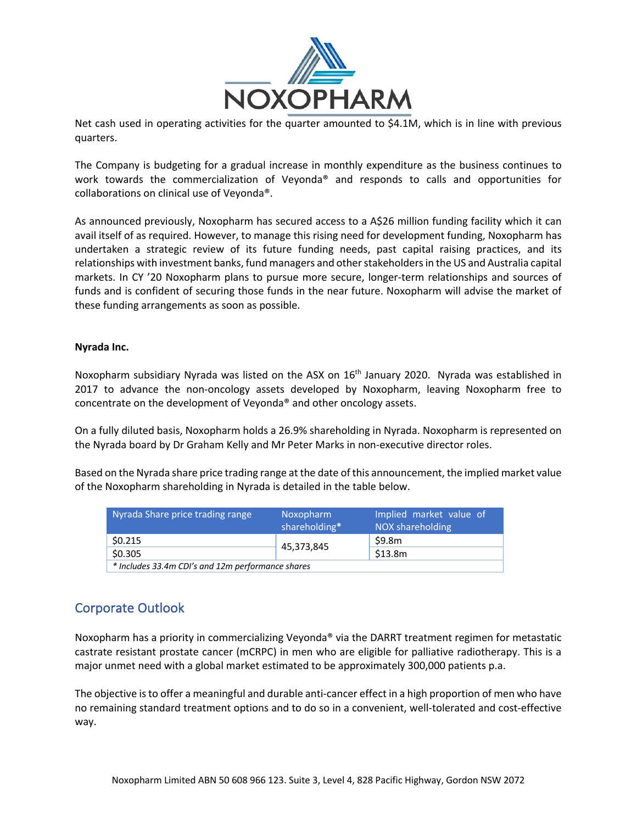

Net cash used in operating activities for the quarter amounted to \$4.1M, which is in line with previous quarters.

The Company is budgeting for a gradual increase in monthly expenditure as the business continues to work towards the commercialization of Veyonda® and responds to calls and opportunities for collaborations on clinical use of Veyonda®.

As announced previously, Noxopharm has secured access to a A\$26 million funding facility which it can avail itself of as required. However, to manage this rising need for development funding, Noxopharm has undertaken a strategic review of its future funding needs, past capital raising practices, and its relationships with investment banks, fund managers and other stakeholders in the US and Australia capital markets. In CY '20 Noxopharm plans to pursue more secure, longer-term relationships and sources of funds and is confident of securing those funds in the near future. Noxopharm will advise the market of these funding arrangements as soon as possible.

#### **Nyrada Inc.**

Noxopharm subsidiary Nyrada was listed on the ASX on 16<sup>th</sup> January 2020. Nyrada was established in 2017 to advance the non-oncology assets developed by Noxopharm, leaving Noxopharm free to concentrate on the development of Veyonda® and other oncology assets.

On a fully diluted basis, Noxopharm holds a 26.9% shareholding in Nyrada. Noxopharm is represented on the Nyrada board by Dr Graham Kelly and Mr Peter Marks in non-executive director roles.

Based on the Nyrada share price trading range at the date of this announcement, the implied market value of the Noxopharm shareholding in Nyrada is detailed in the table below.

| Nyrada Share price trading range                  | Noxopharm<br>shareholding* | Implied market value of<br>NOX shareholding |  |
|---------------------------------------------------|----------------------------|---------------------------------------------|--|
| \$0.215                                           |                            | \$9.8m                                      |  |
| \$0.305                                           | 45,373,845                 | \$13.8m                                     |  |
| * Includes 33.4m CDI's and 12m performance shares |                            |                                             |  |

## Corporate Outlook

Noxopharm has a priority in commercializing Veyonda® via the DARRT treatment regimen for metastatic castrate resistant prostate cancer (mCRPC) in men who are eligible for palliative radiotherapy. This is a major unmet need with a global market estimated to be approximately 300,000 patients p.a.

The objective is to offer a meaningful and durable anti-cancer effect in a high proportion of men who have no remaining standard treatment options and to do so in a convenient, well-tolerated and cost-effective way.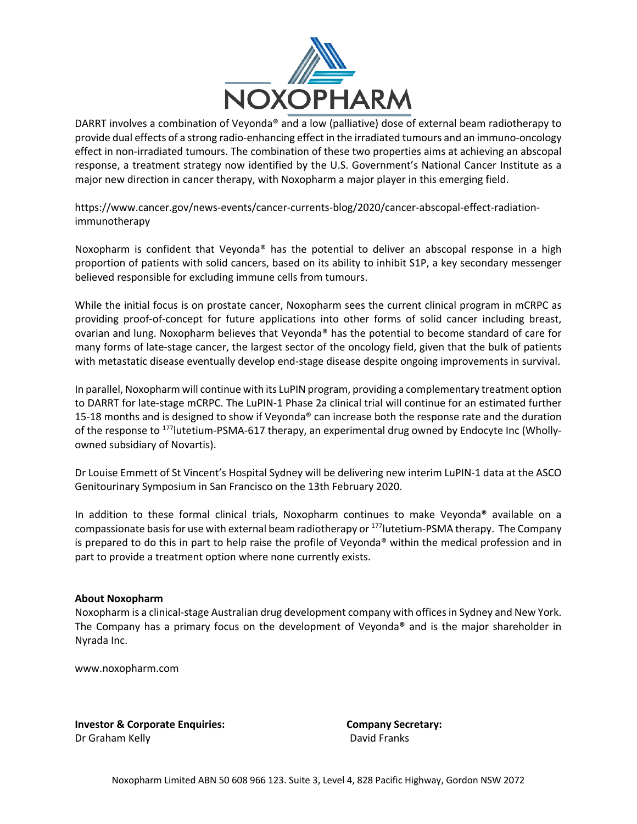

DARRT involves a combination of Veyonda® and a low (palliative) dose of external beam radiotherapy to provide dual effects of a strong radio-enhancing effect in the irradiated tumours and an immuno-oncology effect in non-irradiated tumours. The combination of these two properties aims at achieving an abscopal response, a treatment strategy now identified by the U.S. Government's National Cancer Institute as a major new direction in cancer therapy, with Noxopharm a major player in this emerging field.

https://www.cancer.gov/news-events/cancer-currents-blog/2020/cancer-abscopal-effect-radiationimmunotherapy

Noxopharm is confident that Veyonda® has the potential to deliver an abscopal response in a high proportion of patients with solid cancers, based on its ability to inhibit S1P, a key secondary messenger believed responsible for excluding immune cells from tumours.

While the initial focus is on prostate cancer, Noxopharm sees the current clinical program in mCRPC as providing proof-of-concept for future applications into other forms of solid cancer including breast, ovarian and lung. Noxopharm believes that Veyonda® has the potential to become standard of care for many forms of late-stage cancer, the largest sector of the oncology field, given that the bulk of patients with metastatic disease eventually develop end-stage disease despite ongoing improvements in survival.

In parallel, Noxopharm will continue with its LuPIN program, providing a complementary treatment option to DARRT for late-stage mCRPC. The LuPIN-1 Phase 2a clinical trial will continue for an estimated further 15-18 months and is designed to show if Veyonda® can increase both the response rate and the duration of the response to 177lutetium-PSMA-617 therapy, an experimental drug owned by Endocyte Inc (Whollyowned subsidiary of Novartis).

Dr Louise Emmett of St Vincent's Hospital Sydney will be delivering new interim LuPIN-1 data at the ASCO Genitourinary Symposium in San Francisco on the 13th February 2020.

In addition to these formal clinical trials, Noxopharm continues to make Veyonda® available on a compassionate basis for use with external beam radiotherapy or <sup>177</sup>lutetium-PSMA therapy. The Company is prepared to do this in part to help raise the profile of Veyonda® within the medical profession and in part to provide a treatment option where none currently exists.

### **About Noxopharm**

Noxopharm is a clinical-stage Australian drug development company with offices in Sydney and New York. The Company has a primary focus on the development of Veyonda**®** and is the major shareholder in Nyrada Inc.

www.noxopharm.com

**Investor & Corporate Enquiries: Company Secretary: Company Secretary:** Dr Graham Kelly **David Franks**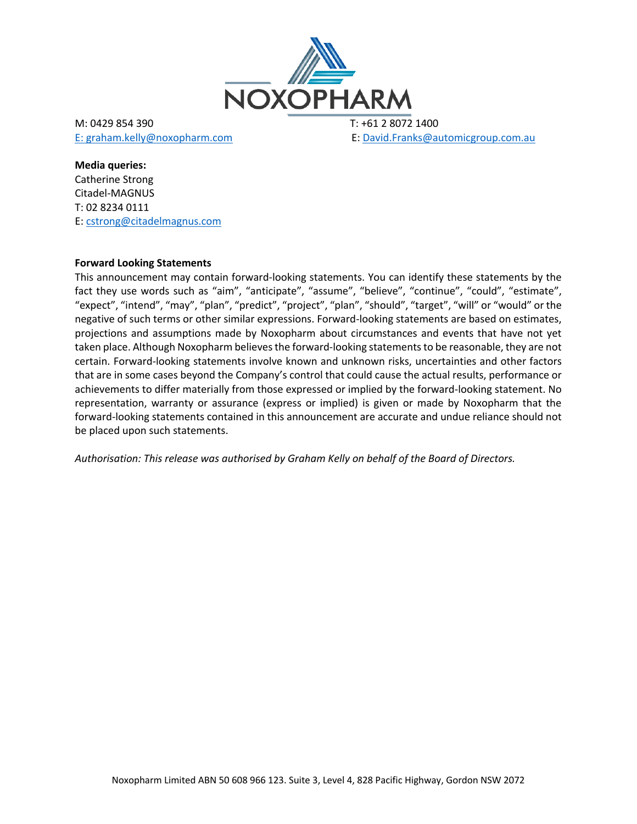

M: 0429 854 390 T: +61 2 8072 1400

E: graham.kelly@noxopharm.com E: David.Franks@automicgroup.com.au

**Media queries:**

Catherine Strong Citadel-MAGNUS T: 02 8234 0111 E: cstrong@citadelmagnus.com

### **Forward Looking Statements**

This announcement may contain forward-looking statements. You can identify these statements by the fact they use words such as "aim", "anticipate", "assume", "believe", "continue", "could", "estimate", "expect", "intend", "may", "plan", "predict", "project", "plan", "should", "target", "will" or "would" or the negative of such terms or other similar expressions. Forward-looking statements are based on estimates, projections and assumptions made by Noxopharm about circumstances and events that have not yet taken place. Although Noxopharm believes the forward-looking statements to be reasonable, they are not certain. Forward-looking statements involve known and unknown risks, uncertainties and other factors that are in some cases beyond the Company's control that could cause the actual results, performance or achievements to differ materially from those expressed or implied by the forward-looking statement. No representation, warranty or assurance (express or implied) is given or made by Noxopharm that the forward-looking statements contained in this announcement are accurate and undue reliance should not be placed upon such statements.

*Authorisation: This release was authorised by Graham Kelly on behalf of the Board of Directors.*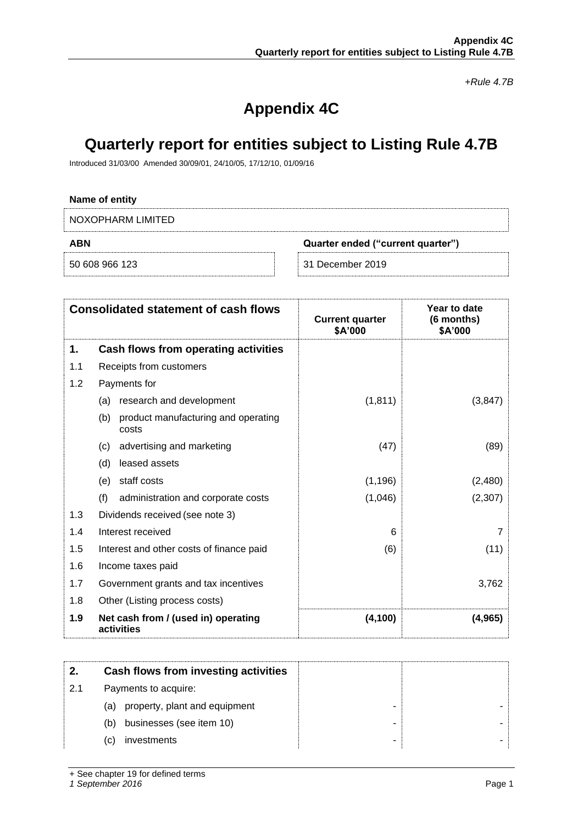*+Rule 4.7B*

# **Appendix 4C**

## **Quarterly report for entities subject to Listing Rule 4.7B**

Introduced 31/03/00 Amended 30/09/01, 24/10/05, 17/12/10, 01/09/16

# **Name of entity** NOXOPHARM LIMITED **ABN Quarter ended ("current quarter")** 50 608 966 123 31 December 2019

|     | <b>Consolidated statement of cash flows</b>         | <b>Current quarter</b><br>\$A'000 | Year to date<br>(6 months)<br>\$A'000 |
|-----|-----------------------------------------------------|-----------------------------------|---------------------------------------|
| 1.  | Cash flows from operating activities                |                                   |                                       |
| 1.1 | Receipts from customers                             |                                   |                                       |
| 1.2 | Payments for                                        |                                   |                                       |
|     | research and development<br>(a)                     | (1, 811)                          | (3, 847)                              |
|     | product manufacturing and operating<br>(b)<br>costs |                                   |                                       |
|     | advertising and marketing<br>(c)                    | (47)                              | (89)                                  |
|     | leased assets<br>(d)                                |                                   |                                       |
|     | staff costs<br>(e)                                  | (1, 196)                          | (2,480)                               |
|     | (f)<br>administration and corporate costs           | (1,046)                           | (2,307)                               |
| 1.3 | Dividends received (see note 3)                     |                                   |                                       |
| 1.4 | Interest received                                   | 6                                 | 7                                     |
| 1.5 | Interest and other costs of finance paid            | (6)                               | (11)                                  |
| 1.6 | Income taxes paid                                   |                                   |                                       |
| 1.7 | Government grants and tax incentives                |                                   | 3,762                                 |
| 1.8 | Other (Listing process costs)                       |                                   |                                       |
| 1.9 | Net cash from / (used in) operating<br>activities   | (4, 100)                          | (4, 965)                              |

|     | Cash flows from investing activities |  |
|-----|--------------------------------------|--|
| 2.1 | Payments to acquire:                 |  |
|     | (a) property, plant and equipment    |  |
|     | businesses (see item 10)<br>(b)      |  |
|     | investments<br>C)                    |  |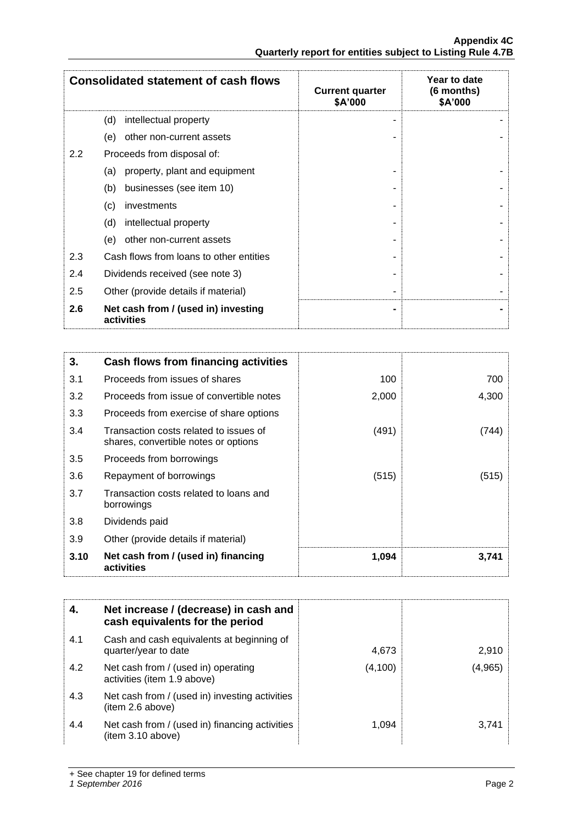|     | <b>Consolidated statement of cash flows</b>       | <b>Current quarter</b><br>\$A'000 | Year to date<br>(6 months)<br>\$A'000 |
|-----|---------------------------------------------------|-----------------------------------|---------------------------------------|
|     | (d)<br>intellectual property                      |                                   |                                       |
|     | other non-current assets<br>(e)                   |                                   |                                       |
| 2.2 | Proceeds from disposal of:                        |                                   |                                       |
|     | property, plant and equipment<br>(a)              |                                   |                                       |
|     | (b)<br>businesses (see item 10)                   |                                   |                                       |
|     | investments<br>(c)                                |                                   |                                       |
|     | (d)<br>intellectual property                      |                                   |                                       |
|     | (e)<br>other non-current assets                   |                                   |                                       |
| 2.3 | Cash flows from loans to other entities           |                                   |                                       |
| 2.4 | Dividends received (see note 3)                   |                                   |                                       |
| 2.5 | Other (provide details if material)               |                                   |                                       |
| 2.6 | Net cash from / (used in) investing<br>activities |                                   |                                       |

| 3.   | Cash flows from financing activities                                           |       |       |
|------|--------------------------------------------------------------------------------|-------|-------|
| 3.1  | Proceeds from issues of shares                                                 | 100   | 700   |
| 3.2  | Proceeds from issue of convertible notes                                       | 2,000 | 4,300 |
| 3.3  | Proceeds from exercise of share options                                        |       |       |
| 3.4  | Transaction costs related to issues of<br>shares, convertible notes or options | (491) | (744) |
| 3.5  | Proceeds from borrowings                                                       |       |       |
| 3.6  | Repayment of borrowings                                                        | (515) | (515) |
| 3.7  | Transaction costs related to loans and<br>borrowings                           |       |       |
| 3.8  | Dividends paid                                                                 |       |       |
| 3.9  | Other (provide details if material)                                            |       |       |
| 3.10 | Net cash from / (used in) financing<br>activities                              | 1,094 | 3,741 |

| 4.  | Net increase / (decrease) in cash and<br>cash equivalents for the period |          |         |
|-----|--------------------------------------------------------------------------|----------|---------|
| 4.1 | Cash and cash equivalents at beginning of<br>quarter/year to date        | 4,673    | 2,910   |
| 4.2 | Net cash from / (used in) operating<br>activities (item 1.9 above)       | (4, 100) | (4,965) |
| 4.3 | Net cash from / (used in) investing activities<br>(item 2.6 above)       |          |         |
| 4.4 | Net cash from / (used in) financing activities<br>(item 3.10 above)      | 1.094    | 3,741   |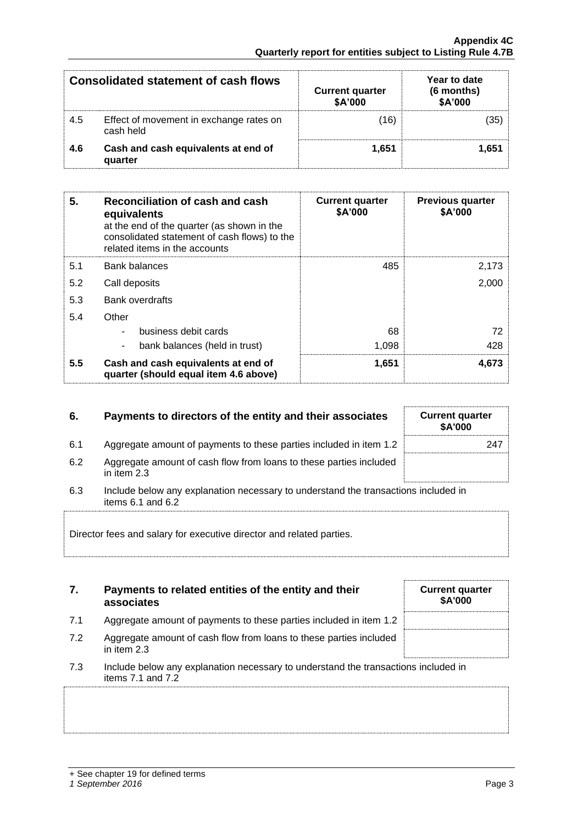|     | Consolidated statement of cash flows                 | <b>Current quarter</b><br>\$A'000 | Year to date<br>(6 months)<br>\$A'000 |
|-----|------------------------------------------------------|-----------------------------------|---------------------------------------|
| 4.5 | Effect of movement in exchange rates on<br>cash held | 16                                |                                       |
| 4.6 | Cash and cash equivalents at end of<br>quarter       | 1.651                             | 1.651                                 |

| 5.  | Reconciliation of cash and cash<br>equivalents<br>at the end of the quarter (as shown in the<br>consolidated statement of cash flows) to the<br>related items in the accounts | <b>Current quarter</b><br>\$A'000 | <b>Previous quarter</b><br>\$A'000 |
|-----|-------------------------------------------------------------------------------------------------------------------------------------------------------------------------------|-----------------------------------|------------------------------------|
| 5.1 | Bank balances                                                                                                                                                                 | 485                               | 2,173                              |
| 5.2 | Call deposits                                                                                                                                                                 |                                   | 2,000                              |
| 5.3 | <b>Bank overdrafts</b>                                                                                                                                                        |                                   |                                    |
| 5.4 | Other                                                                                                                                                                         |                                   |                                    |
|     | business debit cards                                                                                                                                                          | 68                                | 72                                 |
|     | bank balances (held in trust)                                                                                                                                                 | 1,098                             | 428                                |
| 5.5 | Cash and cash equivalents at end of<br>quarter (should equal item 4.6 above)                                                                                                  | 1,651                             | 4,673                              |

| 6.  | Payments to directors of the entity and their associates                                                        | <b>Current quarter</b><br><b>\$A'000</b> |
|-----|-----------------------------------------------------------------------------------------------------------------|------------------------------------------|
| 6.1 | Aggregate amount of payments to these parties included in item 1.2                                              | 247                                      |
| 6.2 | Aggregate amount of cash flow from loans to these parties included<br>in item $2.3$                             |                                          |
| 6.3 | Include below any explanation necessary to understand the transactions included in<br>items $6.1$ and $6.2$     |                                          |
|     | The contract of the contract of the contract of the contract of the contract of the contract of the contract of |                                          |

Director fees and salary for executive director and related parties.

|     | Payments to related entities of the entity and their<br>associates | <b>Current quarter</b><br><b>\$A'000</b> |
|-----|--------------------------------------------------------------------|------------------------------------------|
| 7.1 | Aggregate amount of payments to these parties included in item 1.2 |                                          |

7.2 Aggregate amount of cash flow from loans to these parties included in item 2.3

| 7.3 | Include below any explanation necessary to understand the transactions included in |
|-----|------------------------------------------------------------------------------------|
|     | items 7.1 and 7.2                                                                  |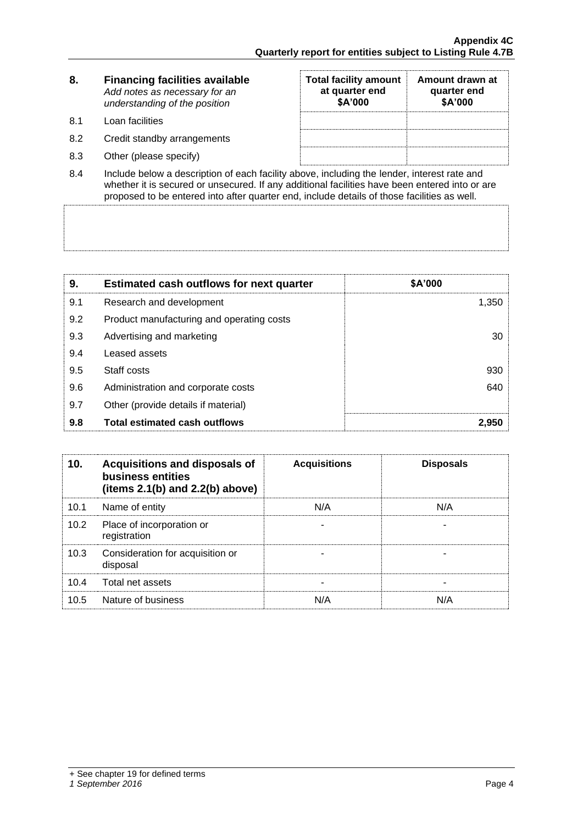| 8.  | <b>Financing facilities available</b><br>Add notes as necessary for an<br>understanding of the position | <b>Total facility amount</b><br>at quarter end<br>\$A'000 | Amount drawn at<br>quarter end<br>\$A'000 |
|-----|---------------------------------------------------------------------------------------------------------|-----------------------------------------------------------|-------------------------------------------|
| 8.1 | Loan facilities                                                                                         |                                                           |                                           |
| 8.2 | Credit standby arrangements                                                                             |                                                           |                                           |
| 8.3 | Other (please specify)                                                                                  |                                                           |                                           |
|     | .                                                                                                       |                                                           |                                           |

8.4 Include below a description of each facility above, including the lender, interest rate and whether it is secured or unsecured. If any additional facilities have been entered into or are proposed to be entered into after quarter end, include details of those facilities as well.

| 9.  | <b>Estimated cash outflows for next quarter</b> | \$A'000 |
|-----|-------------------------------------------------|---------|
| 9.1 | Research and development                        | 1,350   |
| 9.2 | Product manufacturing and operating costs       |         |
| 9.3 | Advertising and marketing                       | 30      |
| 9.4 | Leased assets                                   |         |
| 9.5 | Staff costs                                     | 930     |
| 9.6 | Administration and corporate costs              | 640     |
| 9.7 | Other (provide details if material)             |         |
| 9.8 | <b>Total estimated cash outflows</b>            | 2,950   |

| 10 <sub>1</sub> | Acquisitions and disposals of<br>business entities<br>(items $2.1(b)$ and $2.2(b)$ above) | <b>Acquisitions</b> | <b>Disposals</b> |
|-----------------|-------------------------------------------------------------------------------------------|---------------------|------------------|
| 10.1            | Name of entity                                                                            | N/A                 | N/A              |
| 10.2            | Place of incorporation or<br>registration                                                 |                     |                  |
| 10.3            | Consideration for acquisition or<br>disposal                                              |                     |                  |
| 10.4            | Total net assets                                                                          |                     |                  |
| 10.5            | Nature of business                                                                        | N/A                 | N/A              |